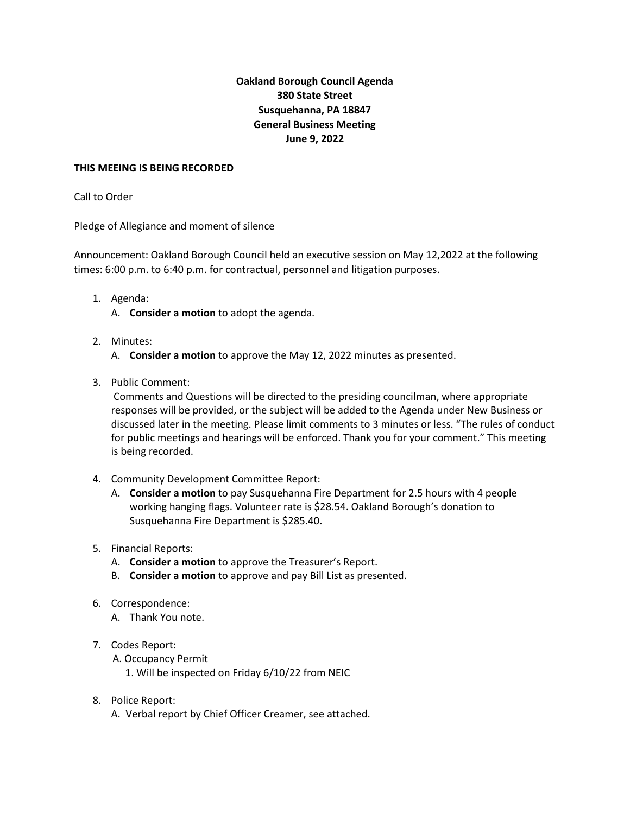# **Oakland Borough Council Agenda 380 State Street Susquehanna, PA 18847 General Business Meeting June 9, 2022**

#### **THIS MEEING IS BEING RECORDED**

#### Call to Order

Pledge of Allegiance and moment of silence

Announcement: Oakland Borough Council held an executive session on May 12,2022 at the following times: 6:00 p.m. to 6:40 p.m. for contractual, personnel and litigation purposes.

- 1. Agenda:
	- A. **Consider a motion** to adopt the agenda.
- 2. Minutes:
	- A. **Consider a motion** to approve the May 12, 2022 minutes as presented.
- 3. Public Comment:

Comments and Questions will be directed to the presiding councilman, where appropriate responses will be provided, or the subject will be added to the Agenda under New Business or discussed later in the meeting. Please limit comments to 3 minutes or less. "The rules of conduct for public meetings and hearings will be enforced. Thank you for your comment." This meeting is being recorded.

- 4. Community Development Committee Report:
	- A. **Consider a motion** to pay Susquehanna Fire Department for 2.5 hours with 4 people working hanging flags. Volunteer rate is \$28.54. Oakland Borough's donation to Susquehanna Fire Department is \$285.40.
- 5. Financial Reports:
	- A. **Consider a motion** to approve the Treasurer's Report.
	- B. **Consider a motion** to approve and pay Bill List as presented.
- 6. Correspondence:
	- A. Thank You note.

### 7. Codes Report:

- A. Occupancy Permit
	- 1. Will be inspected on Friday 6/10/22 from NEIC
- 8. Police Report:
	- A. Verbal report by Chief Officer Creamer, see attached.